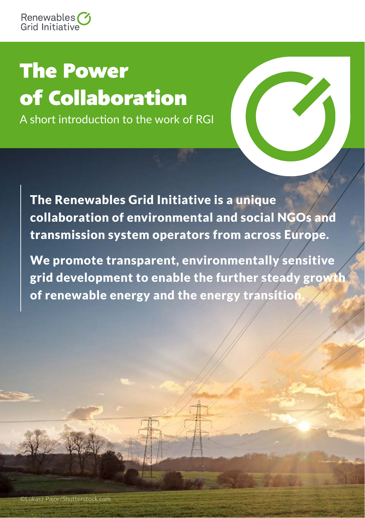## *The Power of Collaboration*

A short introduction to the work of RGI

The Renewables Grid Initiative is a unique collaboration of environmental and social NGOs and transmission system operators from across Europe.

We promote transparent, environmentally sensitive grid development to enable the further steady growth of renewable energy and the energy transition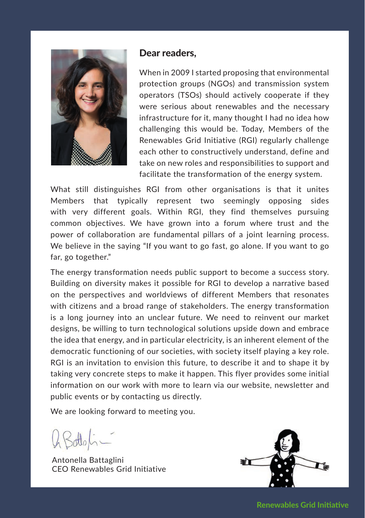

#### Dear readers,

When in 2009 I started proposing that environmental protection groups (NGOs) and transmission system operators (TSOs) should actively cooperate if they were serious about renewables and the necessary infrastructure for it, many thought I had no idea how challenging this would be. Today, Members of the Renewables Grid Initiative (RGI) regularly challenge each other to constructively understand, define and take on new roles and responsibilities to support and facilitate the transformation of the energy system.

What still distinguishes RGI from other organisations is that it unites Members that typically represent two seemingly opposing sides with very different goals. Within RGI, they find themselves pursuing common objectives. We have grown into a forum where trust and the power of collaboration are fundamental pillars of a joint learning process. We believe in the saying "If you want to go fast, go alone. If you want to go far, go together."

The energy transformation needs public support to become a success story. Building on diversity makes it possible for RGI to develop a narrative based on the perspectives and worldviews of different Members that resonates with citizens and a broad range of stakeholders. The energy transformation is a long journey into an unclear future. We need to reinvent our market designs, be willing to turn technological solutions upside down and embrace the idea that energy, and in particular electricity, is an inherent element of the democratic functioning of our societies, with society itself playing a key role. RGI is an invitation to envision this future, to describe it and to shape it by taking very concrete steps to make it happen. This flyer provides some initial information on our work with more to learn via our website, newsletter and public events or by contacting us directly.

We are looking forward to meeting you.

Antonella Battaglini CEO Renewables Grid Initiative



**Renewables Grid Initiative**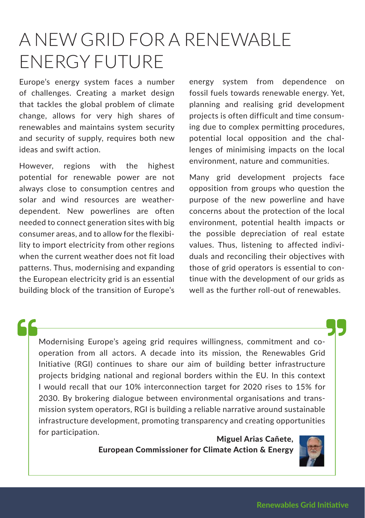## A NEW GRID FOR A RENEWABLE ENERGY FUTURE

Europe's energy system faces a number of challenges. Creating a market design that tackles the global problem of climate change, allows for very high shares of renewables and maintains system security and security of supply, requires both new ideas and swift action.

However, regions with the highest potential for renewable power are not always close to consumption centres and solar and wind resources are weatherdependent. New powerlines are often needed to connect generation sites with big consumer areas, and to allow for the flexibility to import electricity from other regions when the current weather does not fit load patterns. Thus, modernising and expanding the European electricity grid is an essential building block of the transition of Europe's

energy system from dependence on fossil fuels towards renewable energy. Yet, planning and realising grid development projects is often difficult and time consuming due to complex permitting procedures, potential local opposition and the challenges of minimising impacts on the local environment, nature and communities.

Many grid development projects face opposition from groups who question the purpose of the new powerline and have concerns about the protection of the local environment, potential health impacts or the possible depreciation of real estate values. Thus, listening to affected individuals and reconciling their objectives with those of grid operators is essential to continue with the development of our grids as well as the further roll-out of renewables.

Modernising Europe's ageing grid requires willingness, commitment and cooperation from all actors. A decade into its mission, the Renewables Grid Initiative (RGI) continues to share our aim of building better infrastructure projects bridging national and regional borders within the EU. In this context I would recall that our 10% interconnection target for 2020 rises to 15% for 2030. By brokering dialogue between environmental organisations and transmission system operators, RGI is building a reliable narrative around sustainable infrastructure development, promoting transparency and creating opportunities for participation. Miguel Arias Cañete,

### European Commissioner for Climate Action & Energy

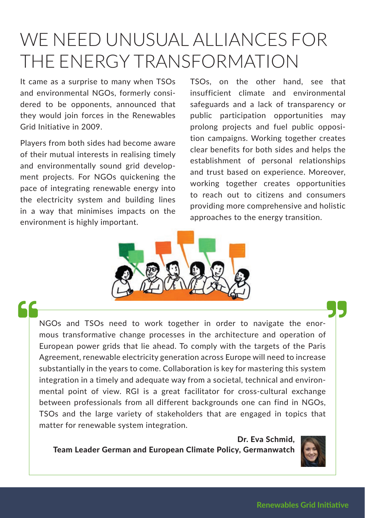## WE NEED UNUSUAL ALLIANCES FOR THE ENERGY TRANSFORMATION

It came as a surprise to many when TSOs and environmental NGOs, formerly considered to be opponents, announced that they would join forces in the Renewables Grid Initiative in 2009.

Players from both sides had become aware of their mutual interests in realising timely and environmentally sound grid development projects. For NGOs quickening the pace of integrating renewable energy into the electricity system and building lines in a way that minimises impacts on the environment is highly important.

TSOs, on the other hand, see that insufficient climate and environmental safeguards and a lack of transparency or public participation opportunities may prolong projects and fuel public opposition campaigns. Working together creates clear benefits for both sides and helps the establishment of personal relationships and trust based on experience. Moreover, working together creates opportunities to reach out to citizens and consumers providing more comprehensive and holistic approaches to the energy transition.



66

NGOs and TSOs need to work together in order to navigate the enormous transformative change processes in the architecture and operation of European power grids that lie ahead. To comply with the targets of the Paris Agreement, renewable electricity generation across Europe will need to increase substantially in the years to come. Collaboration is key for mastering this system integration in a timely and adequate way from a societal, technical and environmental point of view. RGI is a great facilitator for cross-cultural exchange between professionals from all different backgrounds one can find in NGOs, TSOs and the large variety of stakeholders that are engaged in topics that matter for renewable system integration.

Dr. Eva Schmid, Team Leader German and European Climate Policy, Germanwatch

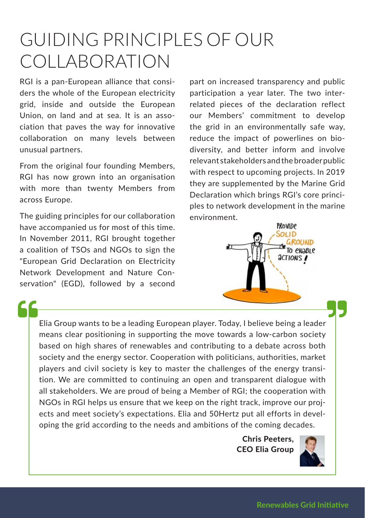## GUIDING PRINCIPLES OF OUR COLLABORATION

RGI is a pan-European alliance that considers the whole of the European electricity grid, inside and outside the European Union, on land and at sea. It is an association that paves the way for innovative collaboration on many levels between unusual partners.

From the original four founding Members, RGI has now grown into an organisation with more than twenty Members from across Europe.

The guiding principles for our collaboration have accompanied us for most of this time. In November 2011, RGI brought together a coalition of TSOs and NGOs to sign the "European Grid Declaration on Electricity Network Development and Nature Conservation" (EGD), followed by a second part on increased transparency and public participation a year later. The two interrelated pieces of the declaration reflect our Members' commitment to develop the grid in an environmentally safe way, reduce the impact of powerlines on biodiversity, and better inform and involve relevant stakeholders and the broader public with respect to upcoming projects. In 2019 they are supplemented by the Marine Grid Declaration which brings RGI's core principles to network development in the marine environment.



Elia Group wants to be a leading European player. Today, I believe being a leader means clear positioning in supporting the move towards a low-carbon society based on high shares of renewables and contributing to a debate across both society and the energy sector. Cooperation with politicians, authorities, market players and civil society is key to master the challenges of the energy transition. We are committed to continuing an open and transparent dialogue with all stakeholders. We are proud of being a Member of RGI; the cooperation with NGOs in RGI helps us ensure that we keep on the right track, improve our projects and meet society's expectations. Elia and 50Hertz put all efforts in developing the grid according to the needs and ambitions of the coming decades.

> Chris Peeters, CEO Elia Group

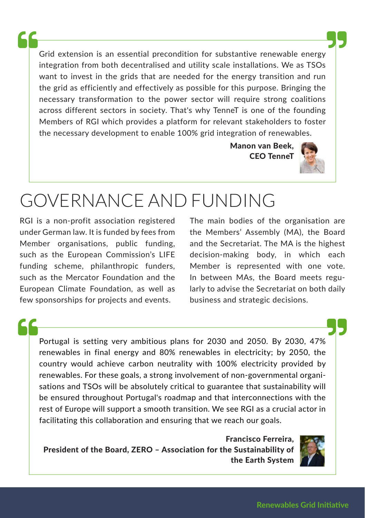Grid extension is an essential precondition for substantive renewable energy integration from both decentralised and utility scale installations. We as TSOs want to invest in the grids that are needed for the energy transition and run the grid as efficiently and effectively as possible for this purpose. Bringing the necessary transformation to the power sector will require strong coalitions across different sectors in society. That's why TenneT is one of the founding Members of RGI which provides a platform for relevant stakeholders to foster the necessary development to enable 100% grid integration of renewables.

> Manon van Beek, CEO TenneT



## GOVERNANCE AND FUNDING

RGI is a non-profit association registered under German law. It is funded by fees from Member organisations, public funding, such as the European Commission's LIFE funding scheme, philanthropic funders, such as the Mercator Foundation and the European Climate Foundation, as well as few sponsorships for projects and events.

The main bodies of the organisation are the Members' Assembly (MA), the Board and the Secretariat. The MA is the highest decision-making body, in which each Member is represented with one vote. In between MAs, the Board meets regularly to advise the Secretariat on both daily business and strategic decisions.

Portugal is setting very ambitious plans for 2030 and 2050. By 2030, 47% renewables in final energy and 80% renewables in electricity; by 2050, the country would achieve carbon neutrality with 100% electricity provided by renewables. For these goals, a strong involvement of non-governmental organisations and TSOs will be absolutely critical to guarantee that sustainability will be ensured throughout Portugal's roadmap and that interconnections with the rest of Europe will support a smooth transition. We see RGI as a crucial actor in facilitating this collaboration and ensuring that we reach our goals.

Francisco Ferreira, President of the Board, ZERO – Association for the Sustainability of the Earth System

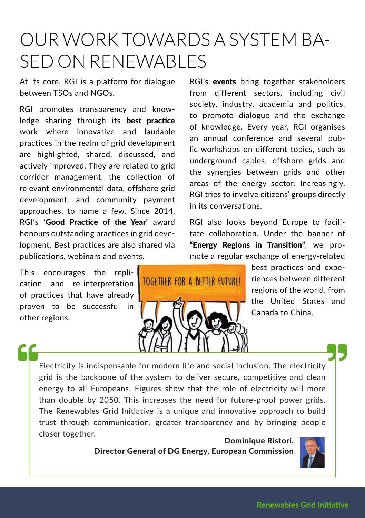## OUR WORK TOWARDS A SYSTEM BA-SED ON RENEWABLES

At its core, RGI is a platform for dialogue between TSOs and NGOs.

RGI promotes transparency and knowledge sharing through its best practice work where innovative and laudable practices in the realm of grid development are highlighted, shared, discussed, and actively improved. They are related to grid corridor management, the collection of relevant environmental data, offshore grid development, and community payment approaches, to name a few. Since 2014, RGI's 'Good Practice of the Year' award honours outstanding practices in grid development. Best practices are also shared via publications, webinars and events.

This encourages the replication and re-interpretation of practices that have already proven to be successful in other regions.

RGI's **events** bring together stakeholders from different sectors, including civil society, industry, academia and politics, to promote dialogue and the exchange of knowledge. Every year, RGI organises an annual conference and several public workshops on different topics, such as underground cables, offshore grids and the synergies between grids and other areas of the energy sector. Increasingly, RGI tries to involve citizens' groups directly in its conversations.

RGI also looks beyond Europe to facilitate collaboration. Under the banner of "Energy Regions in Transition", we promote a regular exchange of energy-related

# TOGETHER FOR A BETTER FUTUREL

best practices and experiences between different regions of the world, from the United States and Canada to China.

Electricity is indispensable for modern life and social inclusion. The electricity grid is the backbone of the system to deliver secure, competitive and clean energy to all Europeans. Figures show that the role of electricity will more than double by 2050. This increases the need for future-proof power grids. The Renewables Grid Initiative is a unique and innovative approach to build trust through communication, greater transparency and by bringing people closer together.<br> **Cominique Ristori, Exercise Component Activity** 

Director General of DG Energy, European Commission

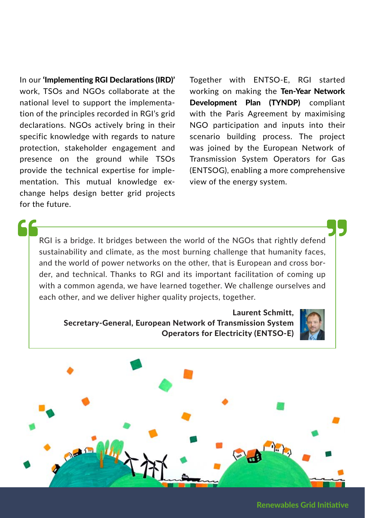In our 'Implementing RGI Declarations (IRD)' work, TSOs and NGOs collaborate at the national level to support the implementation of the principles recorded in RGI's grid declarations. NGOs actively bring in their specific knowledge with regards to nature protection, stakeholder engagement and presence on the ground while TSOs provide the technical expertise for implementation. This mutual knowledge exchange helps design better grid projects for the future.

Together with ENTSO-E, RGI started working on making the Ten-Year Network Development Plan (TYNDP) compliant with the Paris Agreement by maximising NGO participation and inputs into their scenario building process. The project was joined by the European Network of Transmission System Operators for Gas (ENTSOG), enabling a more comprehensive view of the energy system.

RGI is a bridge. It bridges between the world of the NGOs that rightly defend sustainability and climate, as the most burning challenge that humanity faces, and the world of power networks on the other, that is European and cross border, and technical. Thanks to RGI and its important facilitation of coming up with a common agenda, we have learned together. We challenge ourselves and each other, and we deliver higher quality projects, together.

#### Laurent Schmitt, Secretary-General, European Network of Transmission System Operators for Electricity (ENTSO-E)





Renewables Grid Initiative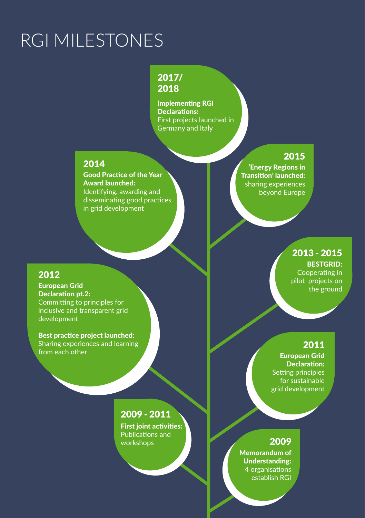## RGI MILESTONES

#### 2017/ 2018

Implementing RGI Declarations: First projects launched in Germany and Italy

#### 2014

Good Practice of the Year Award launched: Identifying, awarding and disseminating good practices in grid development

#### 2015

'Energy Regions in Transition' launched: sharing experiences beyond Europe

#### 2012

European Grid Declaration pt.2: Committing to principles for inclusive and transparent grid development

Best practice project launched: Sharing experiences and learning from each other

#### 2013 - 2015

BESTGRID: Cooperating in pilot projects on the ground

#### 2011

European Grid Declaration: Setting principles for sustainable grid development

#### 2009 - 2011

First joint activities: Publications and workshops

#### 2009

Memorandum of Understanding: 4 organisations establish RGI